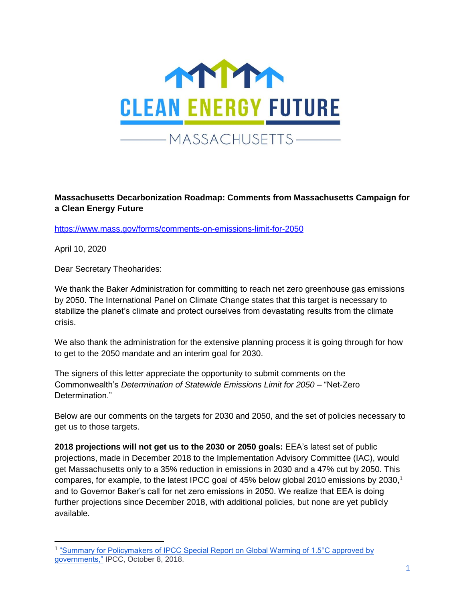

## **Massachusetts Decarbonization Roadmap: Comments from Massachusetts Campaign for a Clean Energy Future**

<https://www.mass.gov/forms/comments-on-emissions-limit-for-2050>

April 10, 2020

Dear Secretary Theoharides:

We thank the Baker Administration for committing to reach net zero greenhouse gas emissions by 2050. The International Panel on Climate Change states that this target is necessary to stabilize the planet's climate and protect ourselves from devastating results from the climate crisis.

We also thank the administration for the extensive planning process it is going through for how to get to the 2050 mandate and an interim goal for 2030.

The signers of this letter appreciate the opportunity to submit comments on the Commonwealth's *Determination of Statewide Emissions Limit for 2050* – "Net-Zero Determination<sup>"</sup>

Below are our comments on the targets for 2030 and 2050, and the set of policies necessary to get us to those targets.

**2018 projections will not get us to the 2030 or 2050 goals:** EEA's latest set of public projections, made in December 2018 to the Implementation Advisory Committee (IAC), would get Massachusetts only to a 35% reduction in emissions in 2030 and a 47% cut by 2050. This compares, for example, to the latest IPCC goal of 45% below global 2010 emissions by 2030,<sup>1</sup> and to Governor Baker's call for net zero emissions in 2050. We realize that EEA is doing further projections since December 2018, with additional policies, but none are yet publicly available.

<sup>&</sup>lt;sup>1</sup> "Summary for Policymakers of IPCC Special Report on Global Warming of 1.5°C approved by [governments,"](https://www.ipcc.ch/2018/10/08/summary-for-policymakers-of-ipcc-special-report-on-global-warming-of-1-5c-approved-by-governments/) IPCC, October 8, 2018.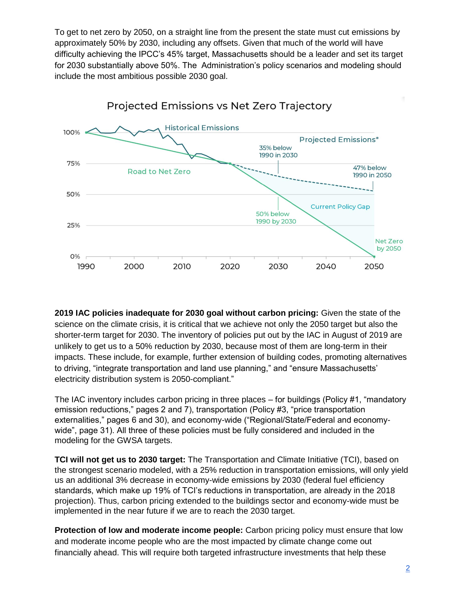To get to net zero by 2050, on a straight line from the present the state must cut emissions by approximately 50% by 2030, including any offsets. Given that much of the world will have difficulty achieving the IPCC's 45% target, Massachusetts should be a leader and set its target for 2030 substantially above 50%. The Administration's policy scenarios and modeling should include the most ambitious possible 2030 goal.



**2019 IAC policies inadequate for 2030 goal without carbon pricing:** Given the state of the science on the climate crisis, it is critical that we achieve not only the 2050 target but also the shorter-term target for 2030. The inventory of policies put out by the IAC in August of 2019 are unlikely to get us to a 50% reduction by 2030, because most of them are long-term in their impacts. These include, for example, further extension of building codes, promoting alternatives to driving, "integrate transportation and land use planning," and "ensure Massachusetts' electricity distribution system is 2050-compliant."

The IAC inventory includes carbon pricing in three places – for buildings (Policy #1, "mandatory emission reductions," pages 2 and 7), transportation (Policy #3, "price transportation externalities," pages 6 and 30), and economy-wide ("Regional/State/Federal and economywide", page 31). All three of these policies must be fully considered and included in the modeling for the GWSA targets.

**TCI will not get us to 2030 target:** The Transportation and Climate Initiative (TCI), based on the strongest scenario modeled, with a 25% reduction in transportation emissions, will only yield us an additional 3% decrease in economy-wide emissions by 2030 (federal fuel efficiency standards, which make up 19% of TCI's reductions in transportation, are already in the 2018 projection). Thus, carbon pricing extended to the buildings sector and economy-wide must be implemented in the near future if we are to reach the 2030 target.

**Protection of low and moderate income people:** Carbon pricing policy must ensure that low and moderate income people who are the most impacted by climate change come out financially ahead. This will require both targeted infrastructure investments that help these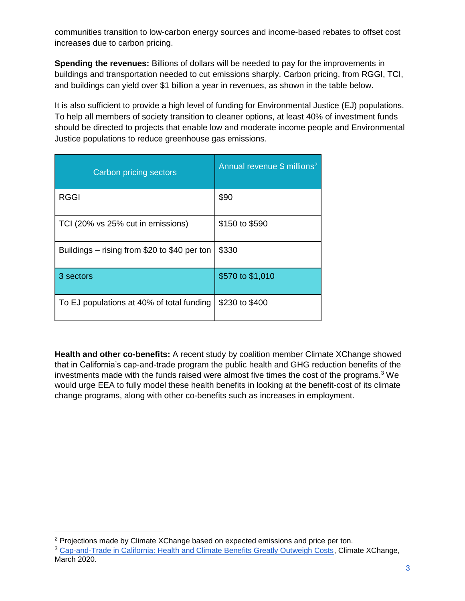communities transition to low-carbon energy sources and income-based rebates to offset cost increases due to carbon pricing.

**Spending the revenues:** Billions of dollars will be needed to pay for the improvements in buildings and transportation needed to cut emissions sharply. Carbon pricing, from RGGI, TCI, and buildings can yield over \$1 billion a year in revenues, as shown in the table below.

It is also sufficient to provide a high level of funding for Environmental Justice (EJ) populations. To help all members of society transition to cleaner options, at least 40% of investment funds should be directed to projects that enable low and moderate income people and Environmental Justice populations to reduce greenhouse gas emissions.

| <b>Carbon pricing sectors</b>                | Annual revenue \$ millions <sup>2</sup> |
|----------------------------------------------|-----------------------------------------|
| <b>RGGI</b>                                  | \$90                                    |
| TCI (20% vs 25% cut in emissions)            | \$150 to \$590                          |
| Buildings - rising from \$20 to \$40 per ton | \$330                                   |
| 3 sectors                                    | \$570 to \$1,010                        |
| To EJ populations at 40% of total funding    | \$230 to \$400                          |

**Health and other co-benefits:** A recent study by coalition member Climate XChange showed that in California's cap-and-trade program the public health and GHG reduction benefits of the investments made with the funds raised were almost five times the cost of the programs. $3$  We would urge EEA to fully model these health benefits in looking at the benefit-cost of its climate change programs, along with other co-benefits such as increases in employment.

 $2$  Projections made by Climate XChange based on expected emissions and price per ton.

<sup>3</sup> [Cap-and-Trade in California: Health and Climate Benefits Greatly Outweigh Costs,](https://climate-xchange.org/2020/03/16/cap-and-trade-in-california-health-and-climate-benefits-greatly-outweigh-costs/) Climate XChange, March 2020.